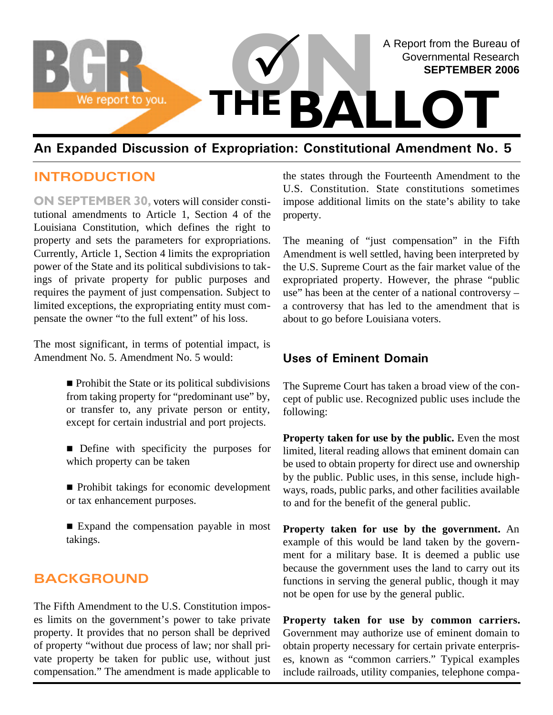

# **An Expanded Discussion of Expropriation: Constitutional Amendment No. 5**

### **INTRODUCTION**

**ON SEPTEMBER 30,** voters will consider constitutional amendments to Article 1, Section 4 of the Louisiana Constitution, which defines the right to property and sets the parameters for expropriations. Currently, Article 1, Section 4 limits the expropriation power of the State and its political subdivisions to takings of private property for public purposes and requires the payment of just compensation. Subject to limited exceptions, the expropriating entity must compensate the owner "to the full extent" of his loss.

The most significant, in terms of potential impact, is Amendment No. 5. Amendment No. 5 would:

> $\blacksquare$  Prohibit the State or its political subdivisions from taking property for "predominant use" by, or transfer to, any private person or entity, except for certain industrial and port projects.

> n Define with specificity the purposes for which property can be taken

> n Prohibit takings for economic development or tax enhancement purposes.

> $\blacksquare$  Expand the compensation payable in most takings.

### **BACKGROUND**

The Fifth Amendment to the U.S. Constitution imposes limits on the government's power to take private property. It provides that no person shall be deprived of property "without due process of law; nor shall private property be taken for public use, without just compensation." The amendment is made applicable to the states through the Fourteenth Amendment to the U.S. Constitution. State constitutions sometimes impose additional limits on the state's ability to take property.

The meaning of "just compensation" in the Fifth Amendment is well settled, having been interpreted by the U.S. Supreme Court as the fair market value of the expropriated property. However, the phrase "public use" has been at the center of a national controversy – a controversy that has led to the amendment that is about to go before Louisiana voters.

### **Uses of Eminent Domain**

The Supreme Court has taken a broad view of the concept of public use. Recognized public uses include the following:

**Property taken for use by the public.** Even the most limited, literal reading allows that eminent domain can be used to obtain property for direct use and ownership by the public. Public uses, in this sense, include highways, roads, public parks, and other facilities available to and for the benefit of the general public.

**Property taken for use by the government.** An example of this would be land taken by the government for a military base. It is deemed a public use because the government uses the land to carry out its functions in serving the general public, though it may not be open for use by the general public.

**Property taken for use by common carriers.** Government may authorize use of eminent domain to obtain property necessary for certain private enterprises, known as "common carriers." Typical examples include railroads, utility companies, telephone compa-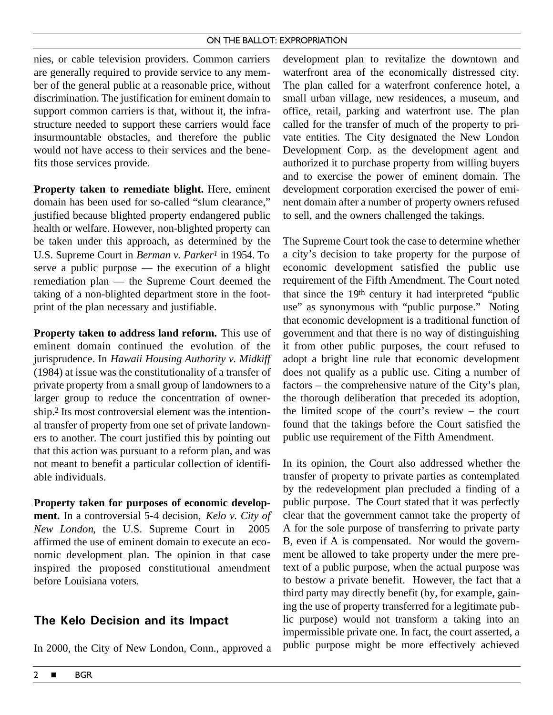#### ON THE BALLOT: EXPROPRIATION

nies, or cable television providers. Common carriers are generally required to provide service to any member of the general public at a reasonable price, without discrimination. The justification for eminent domain to support common carriers is that, without it, the infrastructure needed to support these carriers would face insurmountable obstacles, and therefore the public would not have access to their services and the benefits those services provide.

**Property taken to remediate blight.** Here, eminent domain has been used for so-called "slum clearance," justified because blighted property endangered public health or welfare. However, non-blighted property can be taken under this approach, as determined by the U.S. Supreme Court in *Berman v. Parker1* in 1954. To serve a public purpose — the execution of a blight remediation plan — the Supreme Court deemed the taking of a non-blighted department store in the footprint of the plan necessary and justifiable.

**Property taken to address land reform.** This use of eminent domain continued the evolution of the jurisprudence. In *Hawaii Housing Authority v. Midkiff* (1984) at issue was the constitutionality of a transfer of private property from a small group of landowners to a larger group to reduce the concentration of ownership.2 Its most controversial element was the intentional transfer of property from one set of private landowners to another. The court justified this by pointing out that this action was pursuant to a reform plan, and was not meant to benefit a particular collection of identifiable individuals.

**Property taken for purposes of economic development.** In a controversial 5-4 decision, *Kelo v. City of New London*, the U.S. Supreme Court in 2005 affirmed the use of eminent domain to execute an economic development plan. The opinion in that case inspired the proposed constitutional amendment before Louisiana voters.

### **The Kelo Decision and its Impact**

In 2000, the City of New London, Conn., approved a

development plan to revitalize the downtown and waterfront area of the economically distressed city. The plan called for a waterfront conference hotel, a small urban village, new residences, a museum, and office, retail, parking and waterfront use. The plan called for the transfer of much of the property to private entities. The City designated the New London Development Corp. as the development agent and authorized it to purchase property from willing buyers and to exercise the power of eminent domain. The development corporation exercised the power of eminent domain after a number of property owners refused to sell, and the owners challenged the takings.

The Supreme Court took the case to determine whether a city's decision to take property for the purpose of economic development satisfied the public use requirement of the Fifth Amendment. The Court noted that since the 19th century it had interpreted "public use" as synonymous with "public purpose." Noting that economic development is a traditional function of government and that there is no way of distinguishing it from other public purposes, the court refused to adopt a bright line rule that economic development does not qualify as a public use. Citing a number of factors – the comprehensive nature of the City's plan, the thorough deliberation that preceded its adoption, the limited scope of the court's review – the court found that the takings before the Court satisfied the public use requirement of the Fifth Amendment.

In its opinion, the Court also addressed whether the transfer of property to private parties as contemplated by the redevelopment plan precluded a finding of a public purpose. The Court stated that it was perfectly clear that the government cannot take the property of A for the sole purpose of transferring to private party B, even if A is compensated. Nor would the government be allowed to take property under the mere pretext of a public purpose, when the actual purpose was to bestow a private benefit. However, the fact that a third party may directly benefit (by, for example, gaining the use of property transferred for a legitimate public purpose) would not transform a taking into an impermissible private one. In fact, the court asserted, a public purpose might be more effectively achieved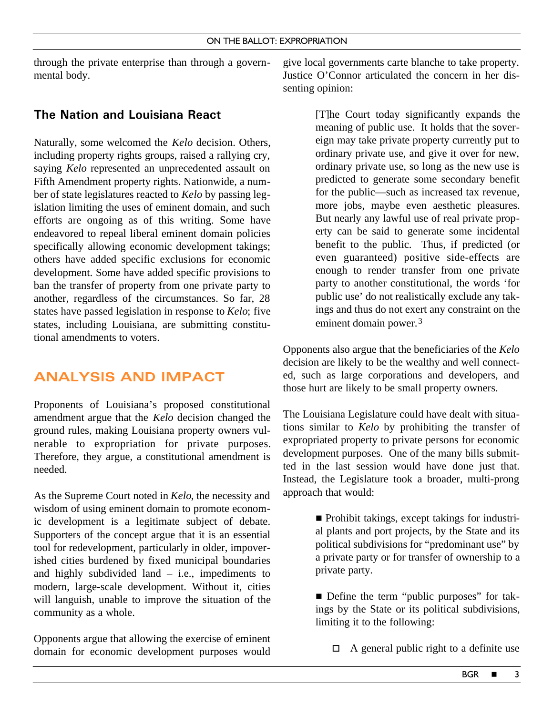through the private enterprise than through a governmental body.

# **The Nation and Louisiana React**

Naturally, some welcomed the *Kelo* decision. Others, including property rights groups, raised a rallying cry, saying *Kelo* represented an unprecedented assault on Fifth Amendment property rights. Nationwide, a number of state legislatures reacted to *Kelo* by passing legislation limiting the uses of eminent domain, and such efforts are ongoing as of this writing. Some have endeavored to repeal liberal eminent domain policies specifically allowing economic development takings; others have added specific exclusions for economic development. Some have added specific provisions to ban the transfer of property from one private party to another, regardless of the circumstances. So far, 28 states have passed legislation in response to *Kelo*; five states, including Louisiana, are submitting constitutional amendments to voters.

# **ANALYSIS AND IMPACT**

Proponents of Louisiana's proposed constitutional amendment argue that the *Kelo* decision changed the ground rules, making Louisiana property owners vulnerable to expropriation for private purposes. Therefore, they argue, a constitutional amendment is needed.

As the Supreme Court noted in *Kelo*, the necessity and wisdom of using eminent domain to promote economic development is a legitimate subject of debate. Supporters of the concept argue that it is an essential tool for redevelopment, particularly in older, impoverished cities burdened by fixed municipal boundaries and highly subdivided land  $-$  i.e., impediments to modern, large-scale development. Without it, cities will languish, unable to improve the situation of the community as a whole.

Opponents argue that allowing the exercise of eminent domain for economic development purposes would give local governments carte blanche to take property. Justice O'Connor articulated the concern in her dissenting opinion:

> [T]he Court today significantly expands the meaning of public use. It holds that the sovereign may take private property currently put to ordinary private use, and give it over for new, ordinary private use, so long as the new use is predicted to generate some secondary benefit for the public—such as increased tax revenue, more jobs, maybe even aesthetic pleasures. But nearly any lawful use of real private property can be said to generate some incidental benefit to the public. Thus, if predicted (or even guaranteed) positive side-effects are enough to render transfer from one private party to another constitutional, the words 'for public use' do not realistically exclude any takings and thus do not exert any constraint on the eminent domain power.<sup>3</sup>

Opponents also argue that the beneficiaries of the *Kelo* decision are likely to be the wealthy and well connected, such as large corporations and developers, and those hurt are likely to be small property owners.

The Louisiana Legislature could have dealt with situations similar to *Kelo* by prohibiting the transfer of expropriated property to private persons for economic development purposes. One of the many bills submitted in the last session would have done just that. Instead, the Legislature took a broader, multi-prong approach that would:

> $\blacksquare$  Prohibit takings, except takings for industrial plants and port projects, by the State and its political subdivisions for "predominant use" by a private party or for transfer of ownership to a private party.

> ■ Define the term "public purposes" for takings by the State or its political subdivisions, limiting it to the following:

 $\Box$  A general public right to a definite use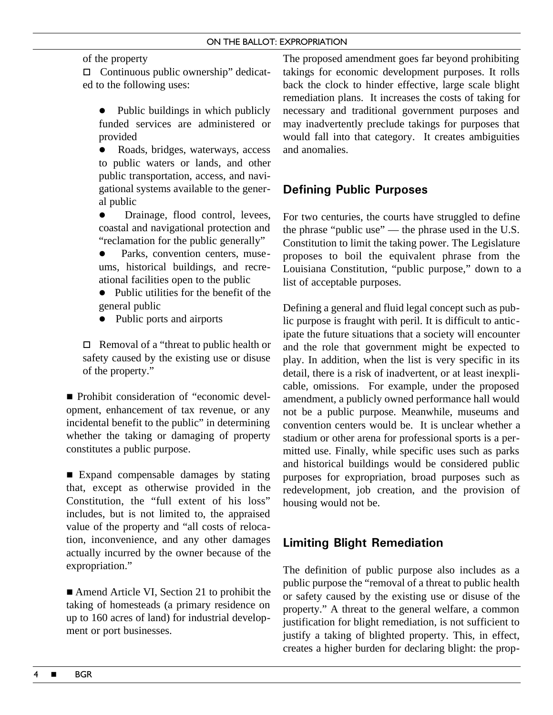### of the property

 $\Box$  Continuous public ownership" dedicated to the following uses:

- $\bullet$  Public buildings in which publicly funded services are administered or provided
- Roads, bridges, waterways, access to public waters or lands, and other public transportation, access, and navigational systems available to the general public
- Drainage, flood control, levees, coastal and navigational protection and "reclamation for the public generally"
- Parks, convention centers, museums, historical buildings, and recreational facilities open to the public
- $\bullet$  Public utilities for the benefit of the general public
- Public ports and airports

 $\Box$  Removal of a "threat to public health or safety caused by the existing use or disuse of the property."

■ Prohibit consideration of "economic development, enhancement of tax revenue, or any incidental benefit to the public" in determining whether the taking or damaging of property constitutes a public purpose.

■ Expand compensable damages by stating that, except as otherwise provided in the Constitution, the "full extent of his loss" includes, but is not limited to, the appraised value of the property and "all costs of relocation, inconvenience, and any other damages actually incurred by the owner because of the expropriation."

■ Amend Article VI, Section 21 to prohibit the taking of homesteads (a primary residence on up to 160 acres of land) for industrial development or port businesses.

The proposed amendment goes far beyond prohibiting takings for economic development purposes. It rolls back the clock to hinder effective, large scale blight remediation plans. It increases the costs of taking for necessary and traditional government purposes and may inadvertently preclude takings for purposes that would fall into that category. It creates ambiguities and anomalies.

## **Defining Public Purposes**

For two centuries, the courts have struggled to define the phrase "public use" — the phrase used in the U.S. Constitution to limit the taking power. The Legislature proposes to boil the equivalent phrase from the Louisiana Constitution, "public purpose," down to a list of acceptable purposes.

Defining a general and fluid legal concept such as public purpose is fraught with peril. It is difficult to anticipate the future situations that a society will encounter and the role that government might be expected to play. In addition, when the list is very specific in its detail, there is a risk of inadvertent, or at least inexplicable, omissions. For example, under the proposed amendment, a publicly owned performance hall would not be a public purpose. Meanwhile, museums and convention centers would be. It is unclear whether a stadium or other arena for professional sports is a permitted use. Finally, while specific uses such as parks and historical buildings would be considered public purposes for expropriation, broad purposes such as redevelopment, job creation, and the provision of housing would not be.

# **Limiting Blight Remediation**

The definition of public purpose also includes as a public purpose the "removal of a threat to public health or safety caused by the existing use or disuse of the property." A threat to the general welfare, a common justification for blight remediation, is not sufficient to justify a taking of blighted property. This, in effect, creates a higher burden for declaring blight: the prop-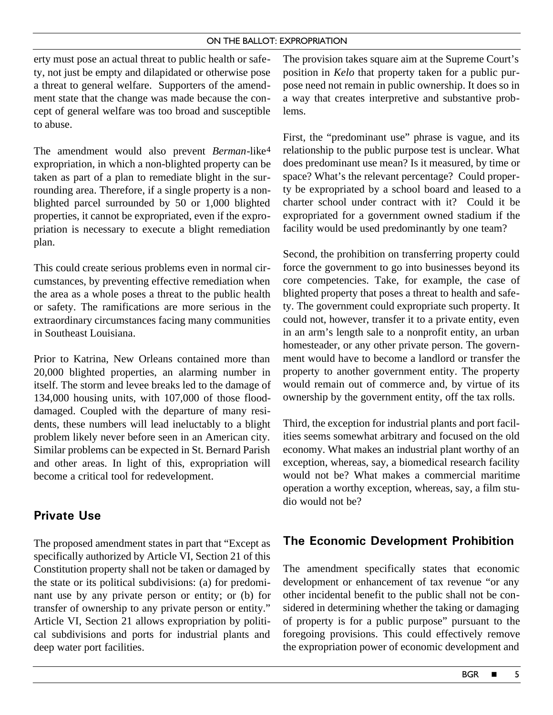#### ON THE BALLOT: EXPROPRIATION

erty must pose an actual threat to public health or safety, not just be empty and dilapidated or otherwise pose a threat to general welfare. Supporters of the amendment state that the change was made because the concept of general welfare was too broad and susceptible to abuse.

The amendment would also prevent *Berman*-like4 expropriation, in which a non-blighted property can be taken as part of a plan to remediate blight in the surrounding area. Therefore, if a single property is a nonblighted parcel surrounded by 50 or 1,000 blighted properties, it cannot be expropriated, even if the expropriation is necessary to execute a blight remediation plan.

This could create serious problems even in normal circumstances, by preventing effective remediation when the area as a whole poses a threat to the public health or safety. The ramifications are more serious in the extraordinary circumstances facing many communities in Southeast Louisiana.

Prior to Katrina, New Orleans contained more than 20,000 blighted properties, an alarming number in itself. The storm and levee breaks led to the damage of 134,000 housing units, with 107,000 of those flooddamaged. Coupled with the departure of many residents, these numbers will lead ineluctably to a blight problem likely never before seen in an American city. Similar problems can be expected in St. Bernard Parish and other areas. In light of this, expropriation will become a critical tool for redevelopment.

### **Private Use**

The proposed amendment states in part that "Except as specifically authorized by Article VI, Section 21 of this Constitution property shall not be taken or damaged by the state or its political subdivisions: (a) for predominant use by any private person or entity; or (b) for transfer of ownership to any private person or entity." Article VI, Section 21 allows expropriation by political subdivisions and ports for industrial plants and deep water port facilities.

The provision takes square aim at the Supreme Court's position in *Kelo* that property taken for a public purpose need not remain in public ownership. It does so in a way that creates interpretive and substantive problems.

First, the "predominant use" phrase is vague, and its relationship to the public purpose test is unclear. What does predominant use mean? Is it measured, by time or space? What's the relevant percentage? Could property be expropriated by a school board and leased to a charter school under contract with it? Could it be expropriated for a government owned stadium if the facility would be used predominantly by one team?

Second, the prohibition on transferring property could force the government to go into businesses beyond its core competencies. Take, for example, the case of blighted property that poses a threat to health and safety. The government could expropriate such property. It could not, however, transfer it to a private entity, even in an arm's length sale to a nonprofit entity, an urban homesteader, or any other private person. The government would have to become a landlord or transfer the property to another government entity. The property would remain out of commerce and, by virtue of its ownership by the government entity, off the tax rolls.

Third, the exception for industrial plants and port facilities seems somewhat arbitrary and focused on the old economy. What makes an industrial plant worthy of an exception, whereas, say, a biomedical research facility would not be? What makes a commercial maritime operation a worthy exception, whereas, say, a film studio would not be?

### **The Economic Development Prohibition**

The amendment specifically states that economic development or enhancement of tax revenue "or any other incidental benefit to the public shall not be considered in determining whether the taking or damaging of property is for a public purpose" pursuant to the foregoing provisions. This could effectively remove the expropriation power of economic development and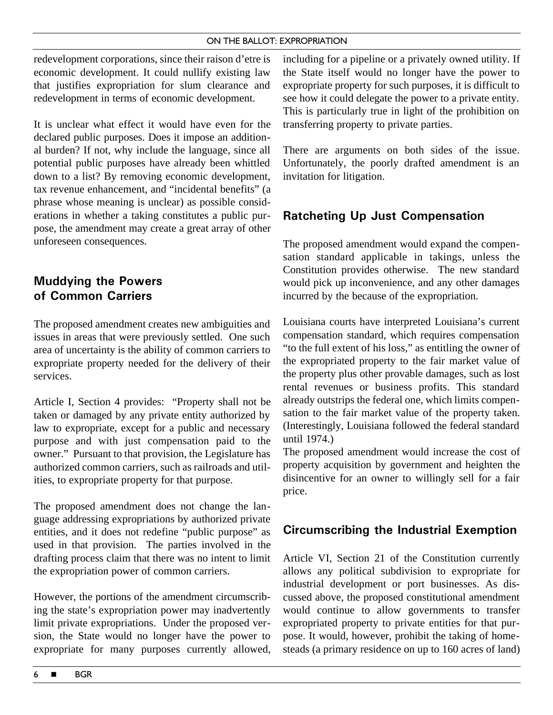#### ON THE BALLOT: EXPROPRIATION

redevelopment corporations, since their raison d'etre is economic development. It could nullify existing law that justifies expropriation for slum clearance and redevelopment in terms of economic development.

It is unclear what effect it would have even for the declared public purposes. Does it impose an additional burden? If not, why include the language, since all potential public purposes have already been whittled down to a list? By removing economic development, tax revenue enhancement, and "incidental benefits" (a phrase whose meaning is unclear) as possible considerations in whether a taking constitutes a public purpose, the amendment may create a great array of other unforeseen consequences.

# **Muddying the Powers of Common Carriers**

The proposed amendment creates new ambiguities and issues in areas that were previously settled. One such area of uncertainty is the ability of common carriers to expropriate property needed for the delivery of their services.

Article I, Section 4 provides: "Property shall not be taken or damaged by any private entity authorized by law to expropriate, except for a public and necessary purpose and with just compensation paid to the owner." Pursuant to that provision, the Legislature has authorized common carriers, such as railroads and utilities, to expropriate property for that purpose.

The proposed amendment does not change the language addressing expropriations by authorized private entities, and it does not redefine "public purpose" as used in that provision. The parties involved in the drafting process claim that there was no intent to limit the expropriation power of common carriers.

However, the portions of the amendment circumscribing the state's expropriation power may inadvertently limit private expropriations. Under the proposed version, the State would no longer have the power to expropriate for many purposes currently allowed, including for a pipeline or a privately owned utility. If the State itself would no longer have the power to expropriate property for such purposes, it is difficult to see how it could delegate the power to a private entity. This is particularly true in light of the prohibition on transferring property to private parties.

There are arguments on both sides of the issue. Unfortunately, the poorly drafted amendment is an invitation for litigation.

# **Ratcheting Up Just Compensation**

The proposed amendment would expand the compensation standard applicable in takings, unless the Constitution provides otherwise. The new standard would pick up inconvenience, and any other damages incurred by the because of the expropriation.

Louisiana courts have interpreted Louisiana's current compensation standard, which requires compensation "to the full extent of his loss," as entitling the owner of the expropriated property to the fair market value of the property plus other provable damages, such as lost rental revenues or business profits. This standard already outstrips the federal one, which limits compensation to the fair market value of the property taken. (Interestingly, Louisiana followed the federal standard until 1974.)

The proposed amendment would increase the cost of property acquisition by government and heighten the disincentive for an owner to willingly sell for a fair price.

# **Circumscribing the Industrial Exemption**

Article VI, Section 21 of the Constitution currently allows any political subdivision to expropriate for industrial development or port businesses. As discussed above, the proposed constitutional amendment would continue to allow governments to transfer expropriated property to private entities for that purpose. It would, however, prohibit the taking of homesteads (a primary residence on up to 160 acres of land)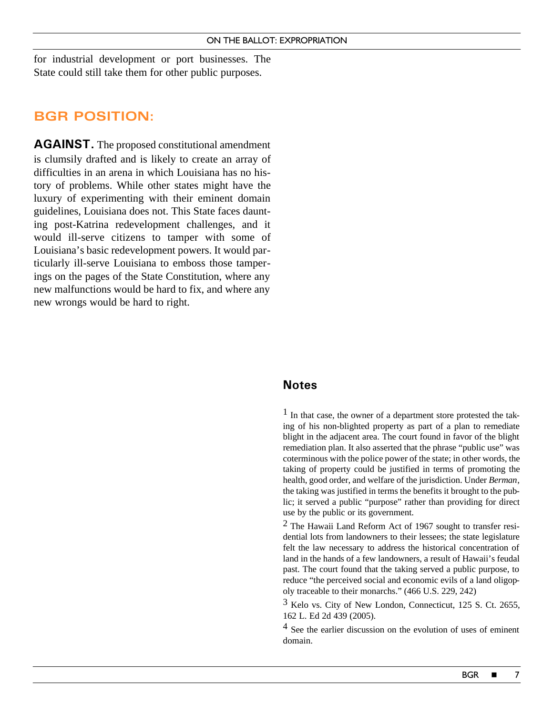for industrial development or port businesses. The State could still take them for other public purposes.

### **BGR POSITION:**

**AGAINST.** The proposed constitutional amendment is clumsily drafted and is likely to create an array of difficulties in an arena in which Louisiana has no history of problems. While other states might have the luxury of experimenting with their eminent domain guidelines, Louisiana does not. This State faces daunting post-Katrina redevelopment challenges, and it would ill-serve citizens to tamper with some of Louisiana's basic redevelopment powers. It would particularly ill-serve Louisiana to emboss those tamperings on the pages of the State Constitution, where any new malfunctions would be hard to fix, and where any new wrongs would be hard to right.

### **Notes**

 $<sup>1</sup>$  In that case, the owner of a department store protested the tak-</sup> ing of his non-blighted property as part of a plan to remediate blight in the adjacent area. The court found in favor of the blight remediation plan. It also asserted that the phrase "public use" was coterminous with the police power of the state; in other words, the taking of property could be justified in terms of promoting the health, good order, and welfare of the jurisdiction. Under *Berman*, the taking was justified in terms the benefits it brought to the public; it served a public "purpose" rather than providing for direct use by the public or its government.

2 The Hawaii Land Reform Act of 1967 sought to transfer residential lots from landowners to their lessees; the state legislature felt the law necessary to address the historical concentration of land in the hands of a few landowners, a result of Hawaii's feudal past. The court found that the taking served a public purpose, to reduce "the perceived social and economic evils of a land oligopoly traceable to their monarchs." (466 U.S. 229, 242)

3 Kelo vs. City of New London, Connecticut, 125 S. Ct. 2655, 162 L. Ed 2d 439 (2005).

4 See the earlier discussion on the evolution of uses of eminent domain.